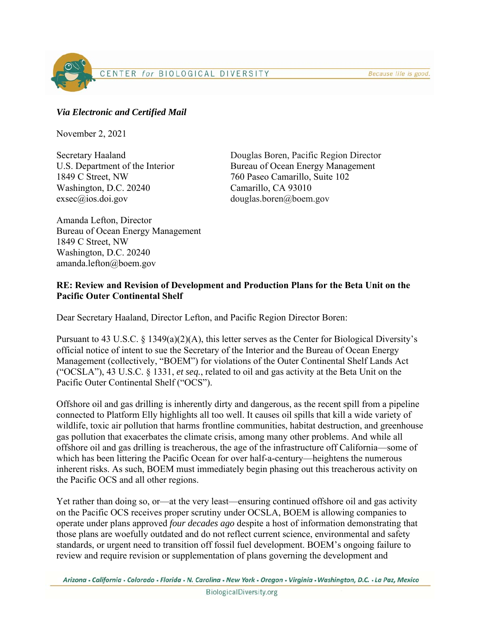Because life is good.

CENTER for BIOLOGICAL DIVERSITY

# *Via Electronic and Certified Mail*

November 2, 2021

1849 C Street, NW 760 Paseo Camarillo, Suite 102 Washington, D.C. 20240 Camarillo, CA 93010 exsec@ios.doi.gov douglas.boren@boem.gov

Secretary Haaland Douglas Boren, Pacific Region Director U.S. Department of the Interior Bureau of Ocean Energy Management

Amanda Lefton, Director Bureau of Ocean Energy Management 1849 C Street, NW Washington, D.C. 20240 amanda.lefton@boem.gov

# **RE: Review and Revision of Development and Production Plans for the Beta Unit on the Pacific Outer Continental Shelf**

Dear Secretary Haaland, Director Lefton, and Pacific Region Director Boren:

Pursuant to 43 U.S.C. § 1349(a)(2)(A), this letter serves as the Center for Biological Diversity's official notice of intent to sue the Secretary of the Interior and the Bureau of Ocean Energy Management (collectively, "BOEM") for violations of the Outer Continental Shelf Lands Act ("OCSLA"), 43 U.S.C. § 1331, *et seq.*, related to oil and gas activity at the Beta Unit on the Pacific Outer Continental Shelf ("OCS").

Offshore oil and gas drilling is inherently dirty and dangerous, as the recent spill from a pipeline connected to Platform Elly highlights all too well. It causes oil spills that kill a wide variety of wildlife, toxic air pollution that harms frontline communities, habitat destruction, and greenhouse gas pollution that exacerbates the climate crisis, among many other problems. And while all offshore oil and gas drilling is treacherous, the age of the infrastructure off California—some of which has been littering the Pacific Ocean for over half-a-century—heightens the numerous inherent risks. As such, BOEM must immediately begin phasing out this treacherous activity on the Pacific OCS and all other regions.

Yet rather than doing so, or—at the very least—ensuring continued offshore oil and gas activity on the Pacific OCS receives proper scrutiny under OCSLA, BOEM is allowing companies to operate under plans approved *four decades ago* despite a host of information demonstrating that those plans are woefully outdated and do not reflect current science, environmental and safety standards, or urgent need to transition off fossil fuel development. BOEM's ongoing failure to review and require revision or supplementation of plans governing the development and

Arizona • California • Colorado • Florida • N. Carolina • New York • Oregon • Virginia • Washington, D.C. • La Paz, Mexico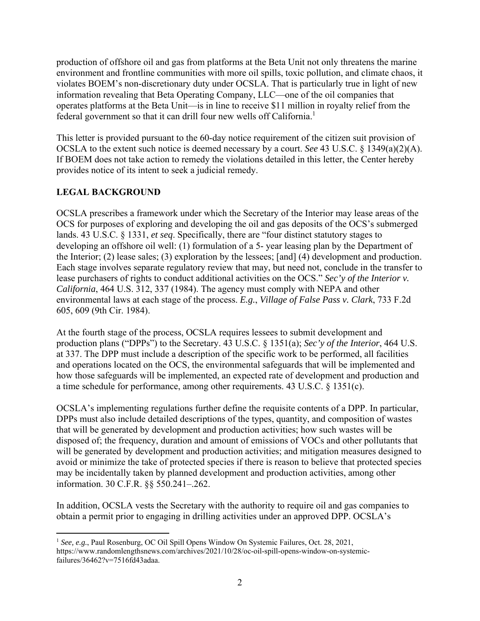production of offshore oil and gas from platforms at the Beta Unit not only threatens the marine environment and frontline communities with more oil spills, toxic pollution, and climate chaos, it violates BOEM's non-discretionary duty under OCSLA. That is particularly true in light of new information revealing that Beta Operating Company, LLC—one of the oil companies that operates platforms at the Beta Unit—is in line to receive \$11 million in royalty relief from the federal government so that it can drill four new wells off California.<sup>1</sup>

This letter is provided pursuant to the 60-day notice requirement of the citizen suit provision of OCSLA to the extent such notice is deemed necessary by a court. *See* 43 U.S.C. § 1349(a)(2)(A). If BOEM does not take action to remedy the violations detailed in this letter, the Center hereby provides notice of its intent to seek a judicial remedy.

# **LEGAL BACKGROUND**

OCSLA prescribes a framework under which the Secretary of the Interior may lease areas of the OCS for purposes of exploring and developing the oil and gas deposits of the OCS's submerged lands. 43 U.S.C. § 1331, *et seq*. Specifically, there are "four distinct statutory stages to developing an offshore oil well: (1) formulation of a 5- year leasing plan by the Department of the Interior; (2) lease sales; (3) exploration by the lessees; [and] (4) development and production. Each stage involves separate regulatory review that may, but need not, conclude in the transfer to lease purchasers of rights to conduct additional activities on the OCS." *Sec'y of the Interior v. California*, 464 U.S. 312, 337 (1984). The agency must comply with NEPA and other environmental laws at each stage of the process. *E.g.*, *Village of False Pass v. Clark*, 733 F.2d 605, 609 (9th Cir. 1984).

At the fourth stage of the process, OCSLA requires lessees to submit development and production plans ("DPPs") to the Secretary. 43 U.S.C. § 1351(a); *Sec'y of the Interior*, 464 U.S. at 337. The DPP must include a description of the specific work to be performed, all facilities and operations located on the OCS, the environmental safeguards that will be implemented and how those safeguards will be implemented, an expected rate of development and production and a time schedule for performance, among other requirements. 43 U.S.C. § 1351(c).

OCSLA's implementing regulations further define the requisite contents of a DPP. In particular, DPPs must also include detailed descriptions of the types, quantity, and composition of wastes that will be generated by development and production activities; how such wastes will be disposed of; the frequency, duration and amount of emissions of VOCs and other pollutants that will be generated by development and production activities; and mitigation measures designed to avoid or minimize the take of protected species if there is reason to believe that protected species may be incidentally taken by planned development and production activities, among other information. 30 C.F.R. §§ 550.241–.262.

In addition, OCSLA vests the Secretary with the authority to require oil and gas companies to obtain a permit prior to engaging in drilling activities under an approved DPP. OCSLA's

<sup>&</sup>lt;sup>1</sup> See, e.g., Paul Rosenburg, OC Oil Spill Opens Window On Systemic Failures, Oct. 28, 2021, https://www.randomlengthsnews.com/archives/2021/10/28/oc-oil-spill-opens-window-on-systemicfailures/36462?v=7516fd43adaa.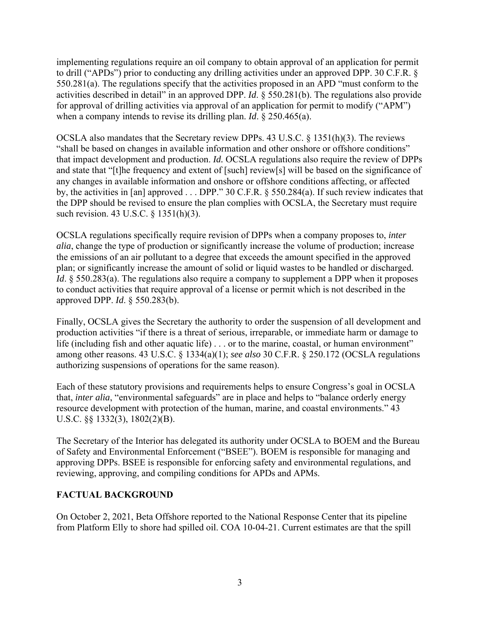implementing regulations require an oil company to obtain approval of an application for permit to drill ("APDs") prior to conducting any drilling activities under an approved DPP. 30 C.F.R. § 550.281(a). The regulations specify that the activities proposed in an APD "must conform to the activities described in detail" in an approved DPP. *Id*. § 550.281(b). The regulations also provide for approval of drilling activities via approval of an application for permit to modify ("APM") when a company intends to revise its drilling plan. *Id*. § 250.465(a).

OCSLA also mandates that the Secretary review DPPs. 43 U.S.C. § 1351(h)(3). The reviews "shall be based on changes in available information and other onshore or offshore conditions" that impact development and production. *Id.* OCSLA regulations also require the review of DPPs and state that "[t]he frequency and extent of [such] review[s] will be based on the significance of any changes in available information and onshore or offshore conditions affecting, or affected by, the activities in [an] approved . . . DPP." 30 C.F.R. § 550.284(a). If such review indicates that the DPP should be revised to ensure the plan complies with OCSLA, the Secretary must require such revision. 43 U.S.C. § 1351(h)(3).

OCSLA regulations specifically require revision of DPPs when a company proposes to, *inter alia*, change the type of production or significantly increase the volume of production; increase the emissions of an air pollutant to a degree that exceeds the amount specified in the approved plan; or significantly increase the amount of solid or liquid wastes to be handled or discharged. *Id.* § 550.283(a). The regulations also require a company to supplement a DPP when it proposes to conduct activities that require approval of a license or permit which is not described in the approved DPP. *Id*. § 550.283(b).

Finally, OCSLA gives the Secretary the authority to order the suspension of all development and production activities "if there is a threat of serious, irreparable, or immediate harm or damage to life (including fish and other aquatic life) . . . or to the marine, coastal, or human environment" among other reasons. 43 U.S.C. § 1334(a)(1); *see also* 30 C.F.R. § 250.172 (OCSLA regulations authorizing suspensions of operations for the same reason).

Each of these statutory provisions and requirements helps to ensure Congress's goal in OCSLA that, *inter alia*, "environmental safeguards" are in place and helps to "balance orderly energy resource development with protection of the human, marine, and coastal environments." 43 U.S.C. §§ 1332(3), 1802(2)(B).

The Secretary of the Interior has delegated its authority under OCSLA to BOEM and the Bureau of Safety and Environmental Enforcement ("BSEE"). BOEM is responsible for managing and approving DPPs. BSEE is responsible for enforcing safety and environmental regulations, and reviewing, approving, and compiling conditions for APDs and APMs.

### **FACTUAL BACKGROUND**

On October 2, 2021, Beta Offshore reported to the National Response Center that its pipeline from Platform Elly to shore had spilled oil. COA 10-04-21. Current estimates are that the spill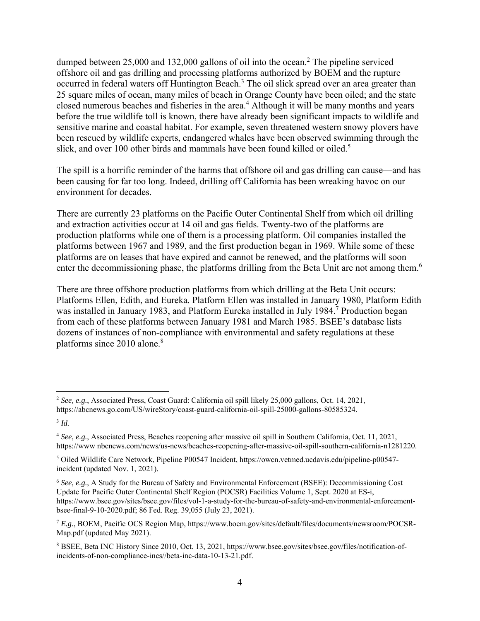dumped between 25,000 and 132,000 gallons of oil into the ocean.<sup>2</sup> The pipeline serviced offshore oil and gas drilling and processing platforms authorized by BOEM and the rupture occurred in federal waters off Huntington Beach.<sup>3</sup> The oil slick spread over an area greater than 25 square miles of ocean, many miles of beach in Orange County have been oiled; and the state closed numerous beaches and fisheries in the area.<sup>4</sup> Although it will be many months and years before the true wildlife toll is known, there have already been significant impacts to wildlife and sensitive marine and coastal habitat. For example, seven threatened western snowy plovers have been rescued by wildlife experts, endangered whales have been observed swimming through the slick, and over 100 other birds and mammals have been found killed or oiled.<sup>5</sup>

The spill is a horrific reminder of the harms that offshore oil and gas drilling can cause—and has been causing for far too long. Indeed, drilling off California has been wreaking havoc on our environment for decades.

There are currently 23 platforms on the Pacific Outer Continental Shelf from which oil drilling and extraction activities occur at 14 oil and gas fields. Twenty-two of the platforms are production platforms while one of them is a processing platform. Oil companies installed the platforms between 1967 and 1989, and the first production began in 1969. While some of these platforms are on leases that have expired and cannot be renewed, and the platforms will soon enter the decommissioning phase, the platforms drilling from the Beta Unit are not among them.<sup>6</sup>

There are three offshore production platforms from which drilling at the Beta Unit occurs: Platforms Ellen, Edith, and Eureka. Platform Ellen was installed in January 1980, Platform Edith was installed in January 1983, and Platform Eureka installed in July 1984.<sup>7</sup> Production began from each of these platforms between January 1981 and March 1985. BSEE's database lists dozens of instances of non-compliance with environmental and safety regulations at these platforms since  $2010$  alone.<sup>8</sup>

<sup>2</sup> *See, e.g.*, Associated Press, Coast Guard: California oil spill likely 25,000 gallons, Oct. 14, 2021, https://abcnews.go.com/US/wireStory/coast-guard-california-oil-spill-25000-gallons-80585324.

<sup>3</sup> *Id.*

<sup>4</sup> *See, e.g.*, Associated Press, Beaches reopening after massive oil spill in Southern California, Oct. 11, 2021, https://www nbcnews.com/news/us-news/beaches-reopening-after-massive-oil-spill-southern-california-n1281220.

<sup>5</sup> Oiled Wildlife Care Network, Pipeline P00547 Incident, https://owcn.vetmed.ucdavis.edu/pipeline-p00547 incident (updated Nov. 1, 2021).

<sup>&</sup>lt;sup>6</sup> See, e.g., A Study for the Bureau of Safety and Environmental Enforcement (BSEE): Decommissioning Cost Update for Pacific Outer Continental Shelf Region (POCSR) Facilities Volume 1, Sept. 2020 at ES-i, https://www.bsee.gov/sites/bsee.gov/files/vol-1-a-study-for-the-bureau-of-safety-and-environmental-enforcementbsee-final-9-10-2020.pdf; 86 Fed. Reg. 39,055 (July 23, 2021).

<sup>7</sup> *E.g.*, BOEM, Pacific OCS Region Map, https://www.boem.gov/sites/default/files/documents/newsroom/POCSR-Map.pdf (updated May 2021).

<sup>8</sup> BSEE, Beta INC History Since 2010, Oct. 13, 2021, https://www.bsee.gov/sites/bsee.gov/files/notification-ofincidents-of-non-compliance-incs//beta-inc-data-10-13-21.pdf.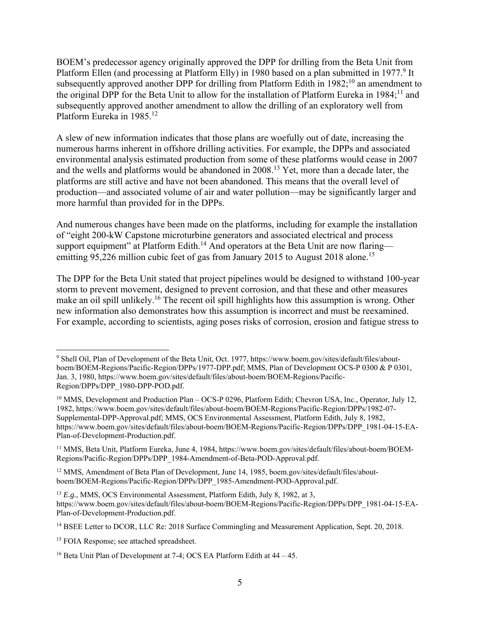BOEM's predecessor agency originally approved the DPP for drilling from the Beta Unit from Platform Ellen (and processing at Platform Elly) in 1980 based on a plan submitted in 1977.<sup>9</sup> It subsequently approved another DPP for drilling from Platform Edith in  $1982$ ;<sup>10</sup> an amendment to the original DPP for the Beta Unit to allow for the installation of Platform Eureka in 1984;<sup>11</sup> and subsequently approved another amendment to allow the drilling of an exploratory well from Platform Eureka in 1985.<sup>12</sup>

A slew of new information indicates that those plans are woefully out of date, increasing the numerous harms inherent in offshore drilling activities. For example, the DPPs and associated environmental analysis estimated production from some of these platforms would cease in 2007 and the wells and platforms would be abandoned in 2008.13 Yet, more than a decade later, the platforms are still active and have not been abandoned. This means that the overall level of production—and associated volume of air and water pollution—may be significantly larger and more harmful than provided for in the DPPs.

And numerous changes have been made on the platforms, including for example the installation of "eight 200-kW Capstone microturbine generators and associated electrical and process support equipment" at Platform Edith.<sup>14</sup> And operators at the Beta Unit are now flaring emitting 95,226 million cubic feet of gas from January 2015 to August 2018 alone.<sup>15</sup>

The DPP for the Beta Unit stated that project pipelines would be designed to withstand 100-year storm to prevent movement, designed to prevent corrosion, and that these and other measures make an oil spill unlikely.<sup>16</sup> The recent oil spill highlights how this assumption is wrong. Other new information also demonstrates how this assumption is incorrect and must be reexamined. For example, according to scientists, aging poses risks of corrosion, erosion and fatigue stress to

<sup>9</sup> Shell Oil, Plan of Development of the Beta Unit, Oct. 1977, https://www.boem.gov/sites/default/files/aboutboem/BOEM-Regions/Pacific-Region/DPPs/1977-DPP.pdf; MMS, Plan of Development OCS-P 0300 & P 0301, Jan. 3, 1980, https://www.boem.gov/sites/default/files/about-boem/BOEM-Regions/Pacific-Region/DPPs/DPP\_1980-DPP-POD.pdf.

<sup>&</sup>lt;sup>10</sup> MMS, Development and Production Plan – OCS-P 0296, Platform Edith; Chevron USA, Inc., Operator, July 12, 1982, https://www.boem.gov/sites/default/files/about-boem/BOEM-Regions/Pacific-Region/DPPs/1982-07- Supplemental-DPP-Approval.pdf; MMS, OCS Environmental Assessment, Platform Edith, July 8, 1982, https://www.boem.gov/sites/default/files/about-boem/BOEM-Regions/Pacific-Region/DPPs/DPP\_1981-04-15-EA-Plan-of-Development-Production.pdf.

<sup>11</sup> MMS, Beta Unit, Platform Eureka, June 4, 1984, https://www.boem.gov/sites/default/files/about-boem/BOEM-Regions/Pacific-Region/DPPs/DPP\_1984-Amendment-of-Beta-POD-Approval.pdf.

<sup>&</sup>lt;sup>12</sup> MMS, Amendment of Beta Plan of Development, June 14, 1985, boem.gov/sites/default/files/aboutboem/BOEM-Regions/Pacific-Region/DPPs/DPP\_1985-Amendment-POD-Approval.pdf.

<sup>13</sup> *E.g.*, MMS, OCS Environmental Assessment, Platform Edith, July 8, 1982, at 3, https://www.boem.gov/sites/default/files/about-boem/BOEM-Regions/Pacific-Region/DPPs/DPP\_1981-04-15-EA-Plan-of-Development-Production.pdf.

<sup>&</sup>lt;sup>14</sup> BSEE Letter to DCOR, LLC Re: 2018 Surface Commingling and Measurement Application, Sept. 20, 2018.

<sup>&</sup>lt;sup>15</sup> FOIA Response; see attached spreadsheet.

<sup>16</sup> Beta Unit Plan of Development at 7-4; OCS EA Platform Edith at 44 – 45.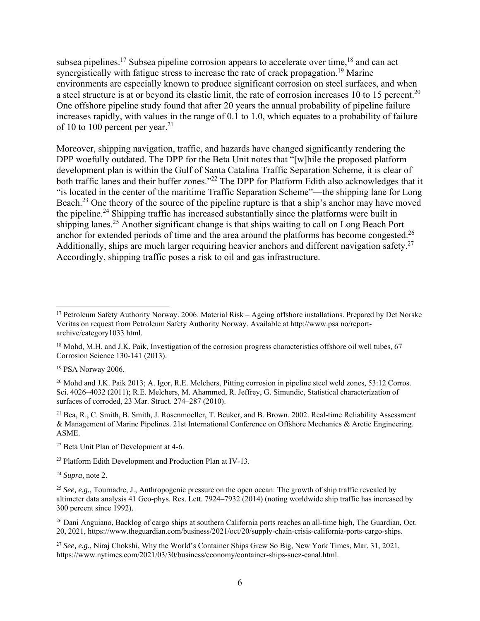subsea pipelines.<sup>17</sup> Subsea pipeline corrosion appears to accelerate over time,  $18$  and can act synergistically with fatigue stress to increase the rate of crack propagation.<sup>19</sup> Marine environments are especially known to produce significant corrosion on steel surfaces, and when a steel structure is at or beyond its elastic limit, the rate of corrosion increases 10 to 15 percent.<sup>20</sup> One offshore pipeline study found that after 20 years the annual probability of pipeline failure increases rapidly, with values in the range of 0.1 to 1.0, which equates to a probability of failure of 10 to 100 percent per year.<sup>21</sup>

Moreover, shipping navigation, traffic, and hazards have changed significantly rendering the DPP woefully outdated. The DPP for the Beta Unit notes that "[w]hile the proposed platform development plan is within the Gulf of Santa Catalina Traffic Separation Scheme, it is clear of both traffic lanes and their buffer zones."<sup>22</sup> The DPP for Platform Edith also acknowledges that it "is located in the center of the maritime Traffic Separation Scheme"—the shipping lane for Long Beach.23 One theory of the source of the pipeline rupture is that a ship's anchor may have moved the pipeline.24 Shipping traffic has increased substantially since the platforms were built in shipping lanes.<sup>25</sup> Another significant change is that ships waiting to call on Long Beach Port anchor for extended periods of time and the area around the platforms has become congested.<sup>26</sup> Additionally, ships are much larger requiring heavier anchors and different navigation safety.<sup>27</sup> Accordingly, shipping traffic poses a risk to oil and gas infrastructure.

<sup>21</sup> Bea, R., C. Smith, B. Smith, J. Rosenmoeller, T. Beuker, and B. Brown. 2002. Real-time Reliability Assessment & Management of Marine Pipelines. 21st International Conference on Offshore Mechanics & Arctic Engineering. ASME.

<sup>24</sup> *Supra,* note 2.

<sup>&</sup>lt;sup>17</sup> Petroleum Safety Authority Norway. 2006. Material Risk – Ageing offshore installations. Prepared by Det Norske Veritas on request from Petroleum Safety Authority Norway. Available at http://www.psa no/reportarchive/category1033 html.

<sup>&</sup>lt;sup>18</sup> Mohd, M.H. and J.K. Paik, Investigation of the corrosion progress characteristics offshore oil well tubes, 67 Corrosion Science 130-141 (2013).

<sup>&</sup>lt;sup>19</sup> PSA Norway 2006.

<sup>&</sup>lt;sup>20</sup> Mohd and J.K. Paik 2013; A. Igor, R.E. Melchers, Pitting corrosion in pipeline steel weld zones, 53:12 Corros. Sci. 4026–4032 (2011); R.E. Melchers, M. Ahammed, R. Jeffrey, G. Simundic, Statistical characterization of surfaces of corroded, 23 Mar. Struct. 274–287 (2010).

<sup>22</sup> Beta Unit Plan of Development at 4-6.

<sup>23</sup> Platform Edith Development and Production Plan at IV-13.

<sup>&</sup>lt;sup>25</sup> *See, e.g.*, Tournadre, J., Anthropogenic pressure on the open ocean: The growth of ship traffic revealed by altimeter data analysis 41 Geo-phys. Res. Lett. 7924–7932 (2014) (noting worldwide ship traffic has increased by 300 percent since 1992).

<sup>&</sup>lt;sup>26</sup> Dani Anguiano, Backlog of cargo ships at southern California ports reaches an all-time high, The Guardian, Oct. 20, 2021, https://www.theguardian.com/business/2021/oct/20/supply-chain-crisis-california-ports-cargo-ships.

<sup>27</sup> *See, e.g.*, Niraj Chokshi, Why the World's Container Ships Grew So Big, New York Times, Mar. 31, 2021, https://www.nytimes.com/2021/03/30/business/economy/container-ships-suez-canal.html.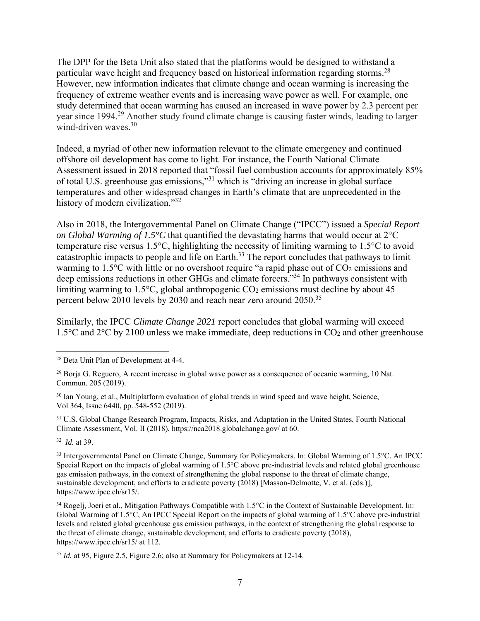The DPP for the Beta Unit also stated that the platforms would be designed to withstand a particular wave height and frequency based on historical information regarding storms.<sup>28</sup> However, new information indicates that climate change and ocean warming is increasing the frequency of extreme weather events and is increasing wave power as well. For example, one study determined that ocean warming has caused an increased in wave power by 2.3 percent per year since 1994.<sup>29</sup> Another study found climate change is causing faster winds, leading to larger wind-driven waves.30

Indeed, a myriad of other new information relevant to the climate emergency and continued offshore oil development has come to light. For instance, the Fourth National Climate Assessment issued in 2018 reported that "fossil fuel combustion accounts for approximately 85% of total U.S. greenhouse gas emissions,"31 which is "driving an increase in global surface temperatures and other widespread changes in Earth's climate that are unprecedented in the history of modern civilization."<sup>32</sup>

Also in 2018, the Intergovernmental Panel on Climate Change ("IPCC") issued a *Special Report on Global Warming of 1.5°C* that quantified the devastating harms that would occur at 2°C temperature rise versus 1.5°C, highlighting the necessity of limiting warming to 1.5°C to avoid catastrophic impacts to people and life on Earth.33 The report concludes that pathways to limit warming to 1.5°C with little or no overshoot require "a rapid phase out of CO<sub>2</sub> emissions and deep emissions reductions in other GHGs and climate forcers."<sup>34</sup> In pathways consistent with limiting warming to 1.5 $\degree$ C, global anthropogenic CO<sub>2</sub> emissions must decline by about 45 percent below 2010 levels by 2030 and reach near zero around 2050.35

Similarly, the IPCC *Climate Change 2021* report concludes that global warming will exceed 1.5°C and 2°C by 2100 unless we make immediate, deep reductions in CO2 and other greenhouse

<sup>30</sup> Ian Young, et al., Multiplatform evaluation of global trends in wind speed and wave height, Science, Vol 364, Issue 6440, pp. 548-552 (2019).

<sup>31</sup> U.S. Global Change Research Program, Impacts, Risks, and Adaptation in the United States, Fourth National Climate Assessment, Vol. II (2018), https://nca2018.globalchange.gov/ at 60.

32 *Id.* at 39.

33 Intergovernmental Panel on Climate Change, Summary for Policymakers. In: Global Warming of 1.5°C. An IPCC Special Report on the impacts of global warming of 1.5°C above pre-industrial levels and related global greenhouse gas emission pathways, in the context of strengthening the global response to the threat of climate change, sustainable development, and efforts to eradicate poverty (2018) [Masson-Delmotte, V. et al. (eds.)], https://www.ipcc.ch/sr15/.

<sup>34</sup> Rogeli, Joeri et al., Mitigation Pathways Compatible with  $1.5^{\circ}$ C in the Context of Sustainable Development. In: Global Warming of 1.5°C, An IPCC Special Report on the impacts of global warming of 1.5°C above pre-industrial levels and related global greenhouse gas emission pathways, in the context of strengthening the global response to the threat of climate change, sustainable development, and efforts to eradicate poverty (2018), https://www.ipcc.ch/sr15/ at 112.

<sup>35</sup> *Id.* at 95, Figure 2.5, Figure 2.6; also at Summary for Policymakers at 12-14.

<sup>28</sup> Beta Unit Plan of Development at 4-4.

<sup>&</sup>lt;sup>29</sup> Borja G. Reguero, A recent increase in global wave power as a consequence of oceanic warming, 10 Nat. Commun. 205 (2019).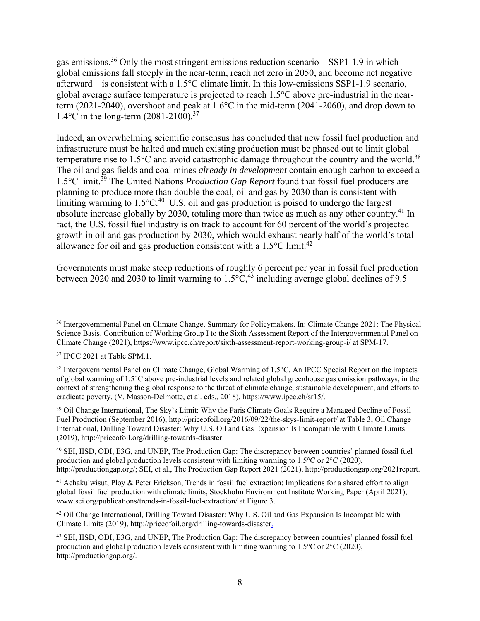gas emissions.36 Only the most stringent emissions reduction scenario—SSP1-1.9 in which global emissions fall steeply in the near-term, reach net zero in 2050, and become net negative afterward—is consistent with a 1.5°C climate limit. In this low-emissions SSP1-1.9 scenario, global average surface temperature is projected to reach 1.5°C above pre-industrial in the nearterm (2021-2040), overshoot and peak at 1.6°C in the mid-term (2041-2060), and drop down to 1.4°C in the long-term (2081-2100).37

Indeed, an overwhelming scientific consensus has concluded that new fossil fuel production and infrastructure must be halted and much existing production must be phased out to limit global temperature rise to  $1.5^{\circ}$ C and avoid catastrophic damage throughout the country and the world.<sup>38</sup> The oil and gas fields and coal mines *already in development* contain enough carbon to exceed a 1.5°C limit.39 The United Nations *Production Gap Report* found that fossil fuel producers are planning to produce more than double the coal, oil and gas by 2030 than is consistent with limiting warming to  $1.5^{\circ}$ C.<sup>40</sup> U.S. oil and gas production is poised to undergo the largest absolute increase globally by 2030, totaling more than twice as much as any other country.<sup>41</sup> In fact, the U.S. fossil fuel industry is on track to account for 60 percent of the world's projected growth in oil and gas production by 2030, which would exhaust nearly half of the world's total allowance for oil and gas production consistent with a  $1.5^{\circ}$ C limit.<sup>42</sup>

Governments must make steep reductions of roughly 6 percent per year in fossil fuel production between 2020 and 2030 to limit warming to  $1.5\degree C$ ,  $4\frac{3}{10}$  including average global declines of 9.5

<sup>39</sup> Oil Change International, The Sky's Limit: Why the Paris Climate Goals Require a Managed Decline of Fossil Fuel Production (September 2016), http://priceofoil.org/2016/09/22/the-skys-limit-report/ at Table 3; Oil Change International, Drilling Toward Disaster: Why U.S. Oil and Gas Expansion Is Incompatible with Climate Limits (2019), http://priceofoil.org/drilling-towards-disaster.

40 SEI, IISD, ODI, E3G, and UNEP, The Production Gap: The discrepancy between countries' planned fossil fuel production and global production levels consistent with limiting warming to 1.5°C or 2°C (2020), http://productiongap.org/; SEI, et al., The Production Gap Report 2021 (2021), http://productiongap.org/2021report.

<sup>41</sup> Achakulwisut, Ploy & Peter Erickson, Trends in fossil fuel extraction: Implications for a shared effort to align global fossil fuel production with climate limits, Stockholm Environment Institute Working Paper (April 2021), www.sei.org/publications/trends-in-fossil-fuel-extraction/ at Figure 3.

<sup>42</sup> Oil Change International, Drilling Toward Disaster: Why U.S. Oil and Gas Expansion Is Incompatible with Climate Limits (2019), http://priceofoil.org/drilling-towards-disaster.

43 SEI, IISD, ODI, E3G, and UNEP, The Production Gap: The discrepancy between countries' planned fossil fuel production and global production levels consistent with limiting warming to 1.5°C or 2°C (2020), http://productiongap.org/.

<sup>36</sup> Intergovernmental Panel on Climate Change, Summary for Policymakers. In: Climate Change 2021: The Physical Science Basis. Contribution of Working Group I to the Sixth Assessment Report of the Intergovernmental Panel on Climate Change (2021), https://www.ipcc.ch/report/sixth-assessment-report-working-group-i/ at SPM-17.

<sup>&</sup>lt;sup>37</sup> IPCC 2021 at Table SPM.1.

<sup>&</sup>lt;sup>38</sup> Intergovernmental Panel on Climate Change, Global Warming of 1.5°C. An IPCC Special Report on the impacts of global warming of 1.5°C above pre-industrial levels and related global greenhouse gas emission pathways, in the context of strengthening the global response to the threat of climate change, sustainable development, and efforts to eradicate poverty, (V. Masson-Delmotte, et al. eds., 2018), https://www.ipcc.ch/sr15/.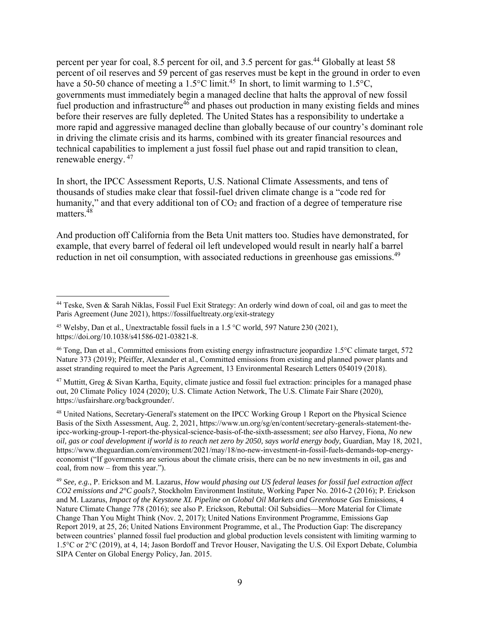percent per year for coal, 8.5 percent for oil, and 3.5 percent for gas.<sup>44</sup> Globally at least 58 percent of oil reserves and 59 percent of gas reserves must be kept in the ground in order to even have a 50-50 chance of meeting a 1.5°C limit.<sup>45</sup> In short, to limit warming to 1.5°C, governments must immediately begin a managed decline that halts the approval of new fossil fuel production and infrastructure<sup>46</sup> and phases out production in many existing fields and mines before their reserves are fully depleted. The United States has a responsibility to undertake a more rapid and aggressive managed decline than globally because of our country's dominant role in driving the climate crisis and its harms, combined with its greater financial resources and technical capabilities to implement a just fossil fuel phase out and rapid transition to clean, renewable energy. 47

In short, the IPCC Assessment Reports, U.S. National Climate Assessments, and tens of thousands of studies make clear that fossil-fuel driven climate change is a "code red for humanity," and that every additional ton of  $CO<sub>2</sub>$  and fraction of a degree of temperature rise matters.<sup>48</sup>

And production off California from the Beta Unit matters too. Studies have demonstrated, for example, that every barrel of federal oil left undeveloped would result in nearly half a barrel reduction in net oil consumption, with associated reductions in greenhouse gas emissions.<sup>49</sup>

 $47$  Muttitt, Greg & Sivan Kartha, Equity, climate justice and fossil fuel extraction: principles for a managed phase out, 20 Climate Policy 1024 (2020); U.S. Climate Action Network, The U.S. Climate Fair Share (2020), https://usfairshare.org/backgrounder/.

48 United Nations, Secretary-General's statement on the IPCC Working Group 1 Report on the Physical Science Basis of the Sixth Assessment, Aug. 2, 2021, https://www.un.org/sg/en/content/secretary-generals-statement-theipcc-working-group-1-report-the-physical-science-basis-of-the-sixth-assessment; *see also* Harvey, Fiona, *No new oil, gas or coal development if world is to reach net zero by 2050, says world energy body,* Guardian, May 18, 2021, https://www.theguardian.com/environment/2021/may/18/no-new-investment-in-fossil-fuels-demands-top-energyeconomist ("If governments are serious about the climate crisis, there can be no new investments in oil, gas and coal, from now – from this year.").

<sup>49</sup> *See, e.g.*, P. Erickson and M. Lazarus, *How would phasing out US federal leases for fossil fuel extraction affect CO2 emissions and 2°C goals?*, Stockholm Environment Institute, Working Paper No. 2016-2 (2016); P. Erickson and M. Lazarus, *Impact of the Keystone XL Pipeline on Global Oil Markets and Greenhouse Gas* Emissions, 4 Nature Climate Change 778 (2016); see also P. Erickson, Rebuttal: Oil Subsidies—More Material for Climate Change Than You Might Think (Nov. 2, 2017); United Nations Environment Programme, Emissions Gap Report 2019, at 25, 26; United Nations Environment Programme, et al., The Production Gap: The discrepancy between countries' planned fossil fuel production and global production levels consistent with limiting warming to 1.5°C or 2°C (2019), at 4, 14; Jason Bordoff and Trevor Houser, Navigating the U.S. Oil Export Debate, Columbia SIPA Center on Global Energy Policy, Jan. 2015.

<sup>44</sup> Teske, Sven & Sarah Niklas, Fossil Fuel Exit Strategy: An orderly wind down of coal, oil and gas to meet the Paris Agreement (June 2021), https://fossilfueltreaty.org/exit-strategy

<sup>&</sup>lt;sup>45</sup> Welsby, Dan et al., Unextractable fossil fuels in a 1.5 °C world, 597 Nature 230 (2021), https://doi.org/10.1038/s41586-021-03821-8.

<sup>46</sup> Tong, Dan et al., Committed emissions from existing energy infrastructure jeopardize 1.5°C climate target, 572 Nature 373 (2019); Pfeiffer, Alexander et al., Committed emissions from existing and planned power plants and asset stranding required to meet the Paris Agreement, 13 Environmental Research Letters 054019 (2018).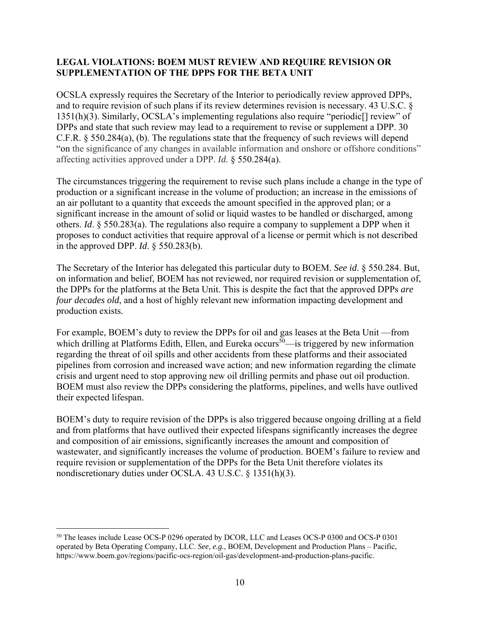### **LEGAL VIOLATIONS: BOEM MUST REVIEW AND REQUIRE REVISION OR SUPPLEMENTATION OF THE DPPS FOR THE BETA UNIT**

OCSLA expressly requires the Secretary of the Interior to periodically review approved DPPs, and to require revision of such plans if its review determines revision is necessary. 43 U.S.C. § 1351(h)(3). Similarly, OCSLA's implementing regulations also require "periodic[] review" of DPPs and state that such review may lead to a requirement to revise or supplement a DPP. 30 C.F.R. § 550.284(a), (b). The regulations state that the frequency of such reviews will depend "on the significance of any changes in available information and onshore or offshore conditions" affecting activities approved under a DPP. *Id.* § 550.284(a).

The circumstances triggering the requirement to revise such plans include a change in the type of production or a significant increase in the volume of production; an increase in the emissions of an air pollutant to a quantity that exceeds the amount specified in the approved plan; or a significant increase in the amount of solid or liquid wastes to be handled or discharged, among others. *Id*. § 550.283(a). The regulations also require a company to supplement a DPP when it proposes to conduct activities that require approval of a license or permit which is not described in the approved DPP. *Id*. § 550.283(b).

The Secretary of the Interior has delegated this particular duty to BOEM. *See id*. § 550.284. But, on information and belief, BOEM has not reviewed, nor required revision or supplementation of, the DPPs for the platforms at the Beta Unit. This is despite the fact that the approved DPPs *are four decades old*, and a host of highly relevant new information impacting development and production exists.

For example, BOEM's duty to review the DPPs for oil and gas leases at the Beta Unit —from which drilling at Platforms Edith, Ellen, and Eureka occurs<sup>50</sup>—is triggered by new information regarding the threat of oil spills and other accidents from these platforms and their associated pipelines from corrosion and increased wave action; and new information regarding the climate crisis and urgent need to stop approving new oil drilling permits and phase out oil production. BOEM must also review the DPPs considering the platforms, pipelines, and wells have outlived their expected lifespan.

BOEM's duty to require revision of the DPPs is also triggered because ongoing drilling at a field and from platforms that have outlived their expected lifespans significantly increases the degree and composition of air emissions, significantly increases the amount and composition of wastewater, and significantly increases the volume of production. BOEM's failure to review and require revision or supplementation of the DPPs for the Beta Unit therefore violates its nondiscretionary duties under OCSLA. 43 U.S.C. § 1351(h)(3).

<sup>50</sup> The leases include Lease OCS-P 0296 operated by DCOR, LLC and Leases OCS-P 0300 and OCS-P 0301 operated by Beta Operating Company, LLC. *See, e.g.*, BOEM, Development and Production Plans – Pacific, https://www.boem.gov/regions/pacific-ocs-region/oil-gas/development-and-production-plans-pacific.